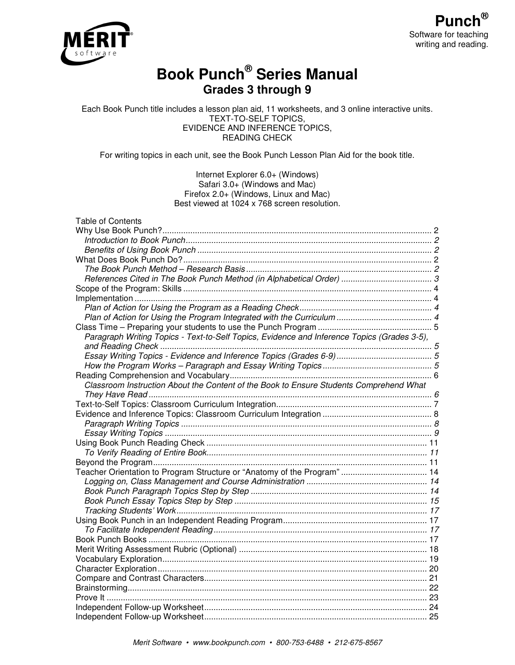



# **Book Punch® Series Manual Grades 3 through 9**

Each Book Punch title includes a lesson plan aid, 11 worksheets, and 3 online interactive units. TEXT-TO-SELF TOPICS, EVIDENCE AND INFERENCE TOPICS, READING CHECK

For writing topics in each unit, see the Book Punch Lesson Plan Aid for the book title.

#### Internet Explorer 6.0+ (Windows) Safari 3.0+ (Windows and Mac) Firefox 2.0+ (Windows, Linux and Mac) Best viewed at 1024 x 768 screen resolution.

| <b>Table of Contents</b>                                                                    |  |
|---------------------------------------------------------------------------------------------|--|
|                                                                                             |  |
|                                                                                             |  |
|                                                                                             |  |
|                                                                                             |  |
|                                                                                             |  |
|                                                                                             |  |
|                                                                                             |  |
|                                                                                             |  |
|                                                                                             |  |
|                                                                                             |  |
|                                                                                             |  |
| Paragraph Writing Topics - Text-to-Self Topics, Evidence and Inference Topics (Grades 3-5), |  |
|                                                                                             |  |
|                                                                                             |  |
|                                                                                             |  |
|                                                                                             |  |
| Classroom Instruction About the Content of the Book to Ensure Students Comprehend What      |  |
|                                                                                             |  |
|                                                                                             |  |
|                                                                                             |  |
|                                                                                             |  |
|                                                                                             |  |
|                                                                                             |  |
|                                                                                             |  |
|                                                                                             |  |
|                                                                                             |  |
|                                                                                             |  |
|                                                                                             |  |
|                                                                                             |  |
|                                                                                             |  |
|                                                                                             |  |
|                                                                                             |  |
|                                                                                             |  |
|                                                                                             |  |
|                                                                                             |  |
|                                                                                             |  |
|                                                                                             |  |
|                                                                                             |  |
|                                                                                             |  |
|                                                                                             |  |
|                                                                                             |  |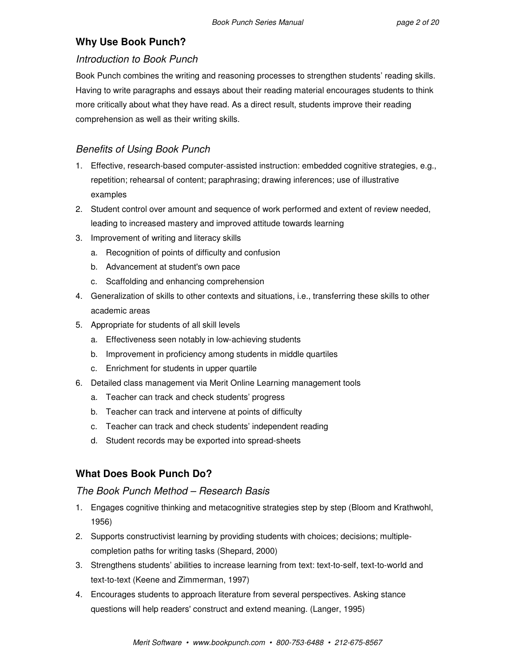# **Why Use Book Punch?**

# Introduction to Book Punch

Book Punch combines the writing and reasoning processes to strengthen students' reading skills. Having to write paragraphs and essays about their reading material encourages students to think more critically about what they have read. As a direct result, students improve their reading comprehension as well as their writing skills.

# Benefits of Using Book Punch

- 1. Effective, research-based computer-assisted instruction: embedded cognitive strategies, e.g., repetition; rehearsal of content; paraphrasing; drawing inferences; use of illustrative examples
- 2. Student control over amount and sequence of work performed and extent of review needed, leading to increased mastery and improved attitude towards learning
- 3. Improvement of writing and literacy skills
	- a. Recognition of points of difficulty and confusion
	- b. Advancement at student's own pace
	- c. Scaffolding and enhancing comprehension
- 4. Generalization of skills to other contexts and situations, i.e., transferring these skills to other academic areas
- 5. Appropriate for students of all skill levels
	- a. Effectiveness seen notably in low-achieving students
	- b. Improvement in proficiency among students in middle quartiles
	- c. Enrichment for students in upper quartile
- 6. Detailed class management via Merit Online Learning management tools
	- a. Teacher can track and check students' progress
	- b. Teacher can track and intervene at points of difficulty
	- c. Teacher can track and check students' independent reading
	- d. Student records may be exported into spread-sheets

# **What Does Book Punch Do?**

# The Book Punch Method – Research Basis

- 1. Engages cognitive thinking and metacognitive strategies step by step (Bloom and Krathwohl, 1956)
- 2. Supports constructivist learning by providing students with choices; decisions; multiplecompletion paths for writing tasks (Shepard, 2000)
- 3. Strengthens students' abilities to increase learning from text: text-to-self, text-to-world and text-to-text (Keene and Zimmerman, 1997)
- 4. Encourages students to approach literature from several perspectives. Asking stance questions will help readers' construct and extend meaning. (Langer, 1995)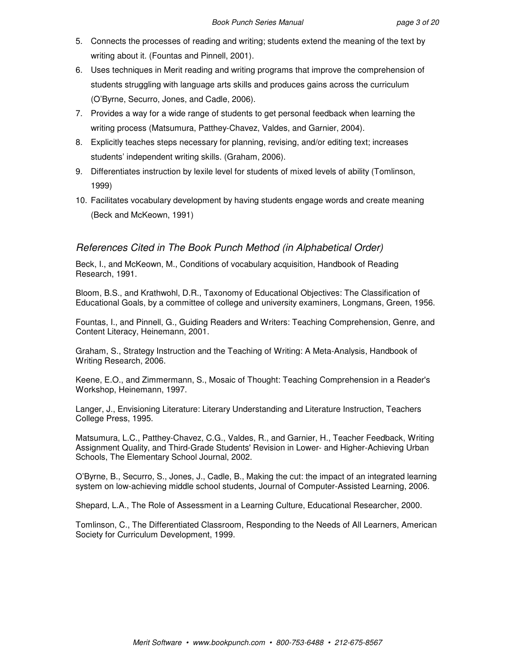- 5. Connects the processes of reading and writing; students extend the meaning of the text by writing about it. (Fountas and Pinnell, 2001).
- 6. Uses techniques in Merit reading and writing programs that improve the comprehension of students struggling with language arts skills and produces gains across the curriculum (O'Byrne, Securro, Jones, and Cadle, 2006).
- 7. Provides a way for a wide range of students to get personal feedback when learning the writing process (Matsumura, Patthey-Chavez, Valdes, and Garnier, 2004).
- 8. Explicitly teaches steps necessary for planning, revising, and/or editing text; increases students' independent writing skills. (Graham, 2006).
- 9. Differentiates instruction by lexile level for students of mixed levels of ability (Tomlinson, 1999)
- 10. Facilitates vocabulary development by having students engage words and create meaning (Beck and McKeown, 1991)

# References Cited in The Book Punch Method (in Alphabetical Order)

Beck, I., and McKeown, M., Conditions of vocabulary acquisition, Handbook of Reading Research, 1991.

Bloom, B.S., and Krathwohl, D.R., Taxonomy of Educational Objectives: The Classification of Educational Goals, by a committee of college and university examiners, Longmans, Green, 1956.

Fountas, I., and Pinnell, G., Guiding Readers and Writers: Teaching Comprehension, Genre, and Content Literacy, Heinemann, 2001.

Graham, S., Strategy Instruction and the Teaching of Writing: A Meta-Analysis, Handbook of Writing Research, 2006.

Keene, E.O., and Zimmermann, S., Mosaic of Thought: Teaching Comprehension in a Reader's Workshop, Heinemann, 1997.

Langer, J., Envisioning Literature: Literary Understanding and Literature Instruction, Teachers College Press, 1995.

Matsumura, L.C., Patthey-Chavez, C.G., Valdes, R., and Garnier, H., Teacher Feedback, Writing Assignment Quality, and Third-Grade Students' Revision in Lower- and Higher-Achieving Urban Schools, The Elementary School Journal, 2002.

O'Byrne, B., Securro, S., Jones, J., Cadle, B., Making the cut: the impact of an integrated learning system on low-achieving middle school students, Journal of Computer-Assisted Learning, 2006.

Shepard, L.A., The Role of Assessment in a Learning Culture, Educational Researcher, 2000.

Tomlinson, C., The Differentiated Classroom, Responding to the Needs of All Learners, American Society for Curriculum Development, 1999.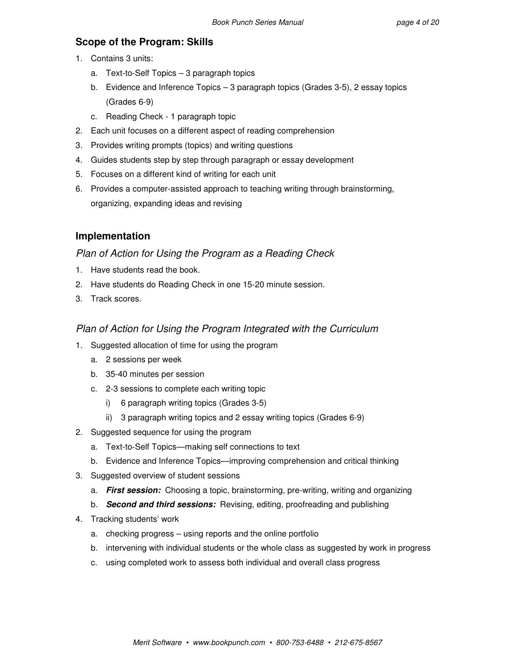# **Scope of the Program: Skills**

- 1. Contains 3 units:
	- a. Text-to-Self Topics 3 paragraph topics
	- b. Evidence and Inference Topics 3 paragraph topics (Grades 3-5), 2 essay topics (Grades 6-9)
	- c. Reading Check 1 paragraph topic
- 2. Each unit focuses on a different aspect of reading comprehension
- 3. Provides writing prompts (topics) and writing questions
- 4. Guides students step by step through paragraph or essay development
- 5. Focuses on a different kind of writing for each unit
- 6. Provides a computer-assisted approach to teaching writing through brainstorming, organizing, expanding ideas and revising

# **Implementation**

## Plan of Action for Using the Program as a Reading Check

- 1. Have students read the book.
- 2. Have students do Reading Check in one 15-20 minute session.
- 3. Track scores.

# Plan of Action for Using the Program Integrated with the Curriculum

- 1. Suggested allocation of time for using the program
	- a. 2 sessions per week
	- b. 35-40 minutes per session
	- c. 2-3 sessions to complete each writing topic
		- i) 6 paragraph writing topics (Grades 3-5)
		- ii) 3 paragraph writing topics and 2 essay writing topics (Grades 6-9)
- 2. Suggested sequence for using the program
	- a. Text-to-Self Topics—making self connections to text
	- b. Evidence and Inference Topics—improving comprehension and critical thinking
- 3. Suggested overview of student sessions
	- a. **First session:** Choosing a topic, brainstorming, pre-writing, writing and organizing
	- b. **Second and third sessions:** Revising, editing, proofreading and publishing
- 4. Tracking students' work
	- a. checking progress using reports and the online portfolio
	- b. intervening with individual students or the whole class as suggested by work in progress
	- c. using completed work to assess both individual and overall class progress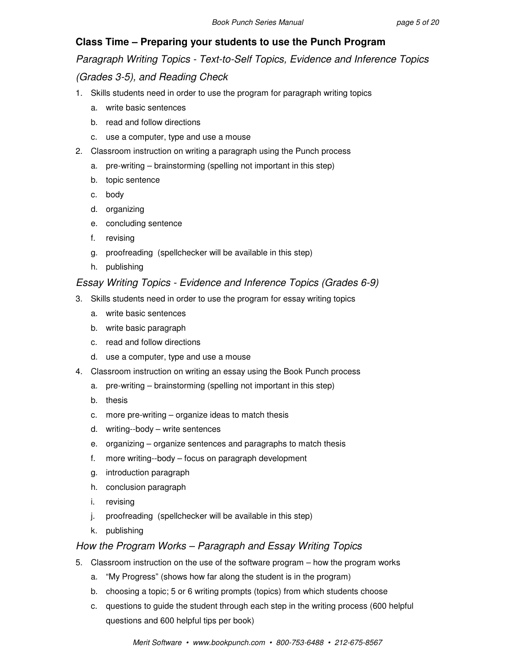# **Class Time – Preparing your students to use the Punch Program**

Paragraph Writing Topics - Text-to-Self Topics, Evidence and Inference Topics

(Grades 3-5), and Reading Check

- 1. Skills students need in order to use the program for paragraph writing topics
	- a. write basic sentences
	- b. read and follow directions
	- c. use a computer, type and use a mouse
- 2. Classroom instruction on writing a paragraph using the Punch process
	- a. pre-writing brainstorming (spelling not important in this step)
	- b. topic sentence
	- c. body
	- d. organizing
	- e. concluding sentence
	- f. revising
	- g. proofreading (spellchecker will be available in this step)
	- h. publishing

# Essay Writing Topics - Evidence and Inference Topics (Grades 6-9)

- 3. Skills students need in order to use the program for essay writing topics
	- a. write basic sentences
	- b. write basic paragraph
	- c. read and follow directions
	- d. use a computer, type and use a mouse
- 4. Classroom instruction on writing an essay using the Book Punch process
	- a. pre-writing brainstorming (spelling not important in this step)
	- b. thesis
	- c. more pre-writing organize ideas to match thesis
	- d. writing--body write sentences
	- e. organizing organize sentences and paragraphs to match thesis
	- f. more writing--body focus on paragraph development
	- g. introduction paragraph
	- h. conclusion paragraph
	- i. revising
	- j. proofreading (spellchecker will be available in this step)
	- k. publishing

## How the Program Works – Paragraph and Essay Writing Topics

- 5. Classroom instruction on the use of the software program how the program works
	- a. "My Progress" (shows how far along the student is in the program)
	- b. choosing a topic; 5 or 6 writing prompts (topics) from which students choose
	- c. questions to guide the student through each step in the writing process (600 helpful questions and 600 helpful tips per book)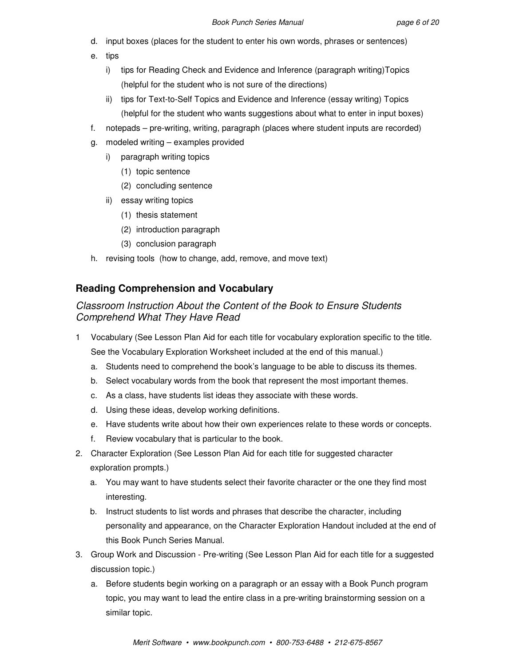- d. input boxes (places for the student to enter his own words, phrases or sentences)
- e. tips
	- i) tips for Reading Check and Evidence and Inference (paragraph writing)Topics (helpful for the student who is not sure of the directions)
	- ii) tips for Text-to-Self Topics and Evidence and Inference (essay writing) Topics (helpful for the student who wants suggestions about what to enter in input boxes)
- f. notepads pre-writing, writing, paragraph (places where student inputs are recorded)
- g. modeled writing examples provided
	- i) paragraph writing topics
		- (1) topic sentence
		- (2) concluding sentence
	- ii) essay writing topics
		- (1) thesis statement
		- (2) introduction paragraph
		- (3) conclusion paragraph
- h. revising tools (how to change, add, remove, and move text)

# **Reading Comprehension and Vocabulary**

# Classroom Instruction About the Content of the Book to Ensure Students Comprehend What They Have Read

- 1 Vocabulary (See Lesson Plan Aid for each title for vocabulary exploration specific to the title. See the Vocabulary Exploration Worksheet included at the end of this manual.)
	- a. Students need to comprehend the book's language to be able to discuss its themes.
	- b. Select vocabulary words from the book that represent the most important themes.
	- c. As a class, have students list ideas they associate with these words.
	- d. Using these ideas, develop working definitions.
	- e. Have students write about how their own experiences relate to these words or concepts.
	- f. Review vocabulary that is particular to the book.
- 2. Character Exploration (See Lesson Plan Aid for each title for suggested character exploration prompts.)
	- a. You may want to have students select their favorite character or the one they find most interesting.
	- b. Instruct students to list words and phrases that describe the character, including personality and appearance, on the Character Exploration Handout included at the end of this Book Punch Series Manual.
- 3. Group Work and Discussion Pre-writing (See Lesson Plan Aid for each title for a suggested discussion topic.)
	- a. Before students begin working on a paragraph or an essay with a Book Punch program topic, you may want to lead the entire class in a pre-writing brainstorming session on a similar topic.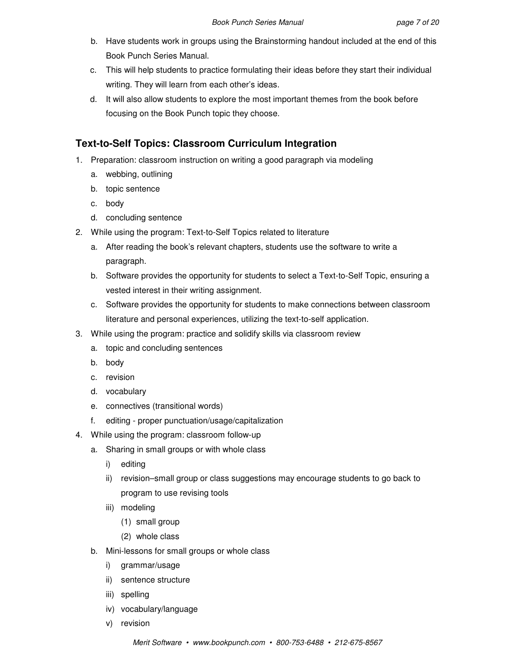- b. Have students work in groups using the Brainstorming handout included at the end of this Book Punch Series Manual.
- c. This will help students to practice formulating their ideas before they start their individual writing. They will learn from each other's ideas.
- d. It will also allow students to explore the most important themes from the book before focusing on the Book Punch topic they choose.

# **Text-to-Self Topics: Classroom Curriculum Integration**

- 1. Preparation: classroom instruction on writing a good paragraph via modeling
	- a. webbing, outlining
	- b. topic sentence
	- c. body
	- d. concluding sentence
- 2. While using the program: Text-to-Self Topics related to literature
	- a. After reading the book's relevant chapters, students use the software to write a paragraph.
	- b. Software provides the opportunity for students to select a Text-to-Self Topic, ensuring a vested interest in their writing assignment.
	- c. Software provides the opportunity for students to make connections between classroom literature and personal experiences, utilizing the text-to-self application.
- 3. While using the program: practice and solidify skills via classroom review
	- a. topic and concluding sentences
	- b. body
	- c. revision
	- d. vocabulary
	- e. connectives (transitional words)
	- f. editing proper punctuation/usage/capitalization
- 4. While using the program: classroom follow-up
	- a. Sharing in small groups or with whole class
		- i) editing
		- ii) revision–small group or class suggestions may encourage students to go back to program to use revising tools
		- iii) modeling
			- (1) small group
			- (2) whole class
	- b. Mini-lessons for small groups or whole class
		- i) grammar/usage
		- ii) sentence structure
		- iii) spelling
		- iv) vocabulary/language
		- v) revision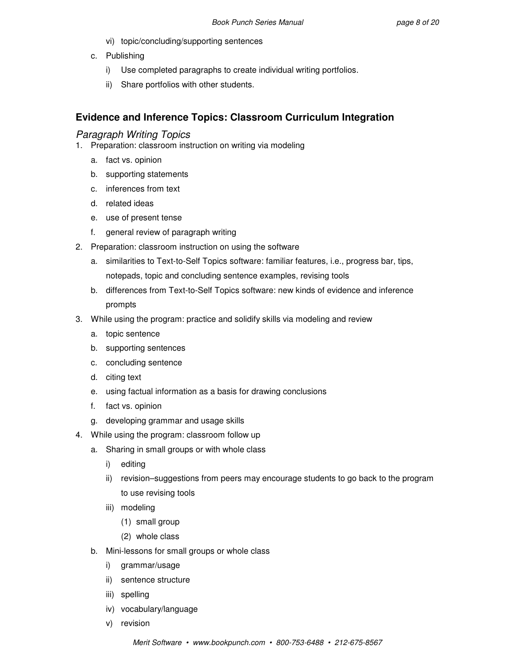- vi) topic/concluding/supporting sentences
- c. Publishing
	- i) Use completed paragraphs to create individual writing portfolios.
	- ii) Share portfolios with other students.

# **Evidence and Inference Topics: Classroom Curriculum Integration**

### Paragraph Writing Topics

- 1. Preparation: classroom instruction on writing via modeling
	- a. fact vs. opinion
	- b. supporting statements
	- c. inferences from text
	- d. related ideas
	- e. use of present tense
	- f. general review of paragraph writing
- 2. Preparation: classroom instruction on using the software
	- a. similarities to Text-to-Self Topics software: familiar features, i.e., progress bar, tips, notepads, topic and concluding sentence examples, revising tools
	- b. differences from Text-to-Self Topics software: new kinds of evidence and inference prompts
- 3. While using the program: practice and solidify skills via modeling and review
	- a. topic sentence
	- b. supporting sentences
	- c. concluding sentence
	- d. citing text
	- e. using factual information as a basis for drawing conclusions
	- f. fact vs. opinion
	- g. developing grammar and usage skills
- 4. While using the program: classroom follow up
	- a. Sharing in small groups or with whole class
		- i) editing
		- ii) revision–suggestions from peers may encourage students to go back to the program to use revising tools
		- iii) modeling
			- (1) small group
			- (2) whole class
	- b. Mini-lessons for small groups or whole class
		- i) grammar/usage
		- ii) sentence structure
		- iii) spelling
		- iv) vocabulary/language
		- v) revision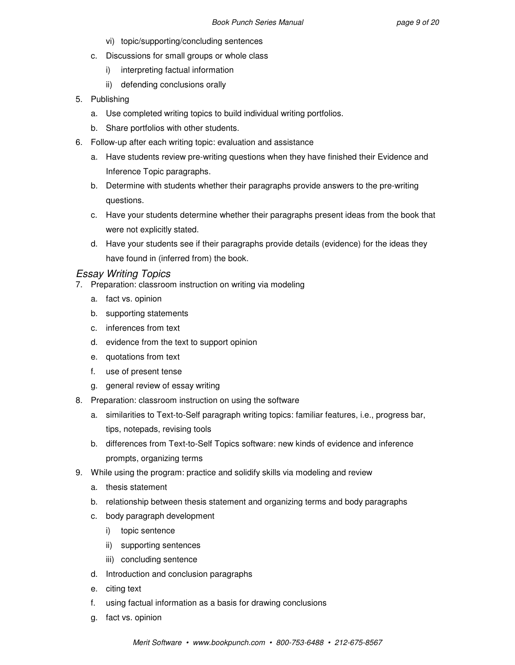- vi) topic/supporting/concluding sentences
- c. Discussions for small groups or whole class
	- i) interpreting factual information
	- ii) defending conclusions orally
- 5. Publishing
	- a. Use completed writing topics to build individual writing portfolios.
	- b. Share portfolios with other students.
- 6. Follow-up after each writing topic: evaluation and assistance
	- a. Have students review pre-writing questions when they have finished their Evidence and Inference Topic paragraphs.
	- b. Determine with students whether their paragraphs provide answers to the pre-writing questions.
	- c. Have your students determine whether their paragraphs present ideas from the book that were not explicitly stated.
	- d. Have your students see if their paragraphs provide details (evidence) for the ideas they have found in (inferred from) the book.

## Essay Writing Topics

- 7. Preparation: classroom instruction on writing via modeling
	- a. fact vs. opinion
	- b. supporting statements
	- c. inferences from text
	- d. evidence from the text to support opinion
	- e. quotations from text
	- f. use of present tense
	- g. general review of essay writing
- 8. Preparation: classroom instruction on using the software
	- a. similarities to Text-to-Self paragraph writing topics: familiar features, i.e., progress bar, tips, notepads, revising tools
	- b. differences from Text-to-Self Topics software: new kinds of evidence and inference prompts, organizing terms
- 9. While using the program: practice and solidify skills via modeling and review
	- a. thesis statement
	- b. relationship between thesis statement and organizing terms and body paragraphs
	- c. body paragraph development
		- i) topic sentence
		- ii) supporting sentences
		- iii) concluding sentence
	- d. Introduction and conclusion paragraphs
	- e. citing text
	- f. using factual information as a basis for drawing conclusions
	- g. fact vs. opinion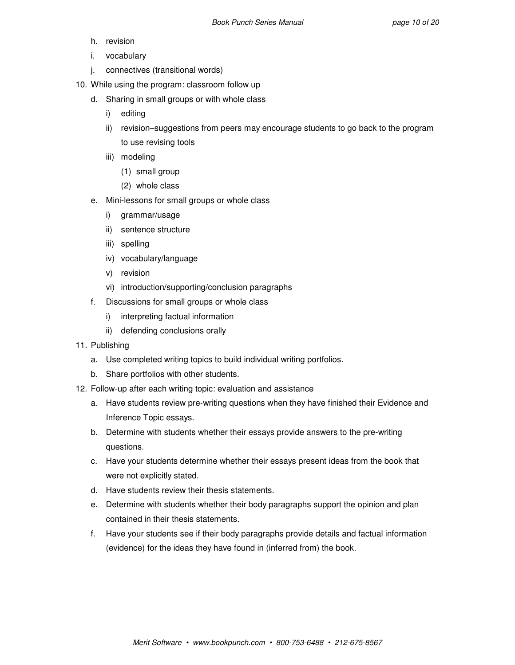- h. revision
- i. vocabulary
- j. connectives (transitional words)
- 10. While using the program: classroom follow up
	- d. Sharing in small groups or with whole class
		- i) editing
		- ii) revision–suggestions from peers may encourage students to go back to the program to use revising tools
		- iii) modeling
			- (1) small group
			- (2) whole class
	- e. Mini-lessons for small groups or whole class
		- i) grammar/usage
		- ii) sentence structure
		- iii) spelling
		- iv) vocabulary/language
		- v) revision
		- vi) introduction/supporting/conclusion paragraphs
	- f. Discussions for small groups or whole class
		- i) interpreting factual information
		- ii) defending conclusions orally
- 11. Publishing
	- a. Use completed writing topics to build individual writing portfolios.
	- b. Share portfolios with other students.
- 12. Follow-up after each writing topic: evaluation and assistance
	- a. Have students review pre-writing questions when they have finished their Evidence and Inference Topic essays.
	- b. Determine with students whether their essays provide answers to the pre-writing questions.
	- c. Have your students determine whether their essays present ideas from the book that were not explicitly stated.
	- d. Have students review their thesis statements.
	- e. Determine with students whether their body paragraphs support the opinion and plan contained in their thesis statements.
	- f. Have your students see if their body paragraphs provide details and factual information (evidence) for the ideas they have found in (inferred from) the book.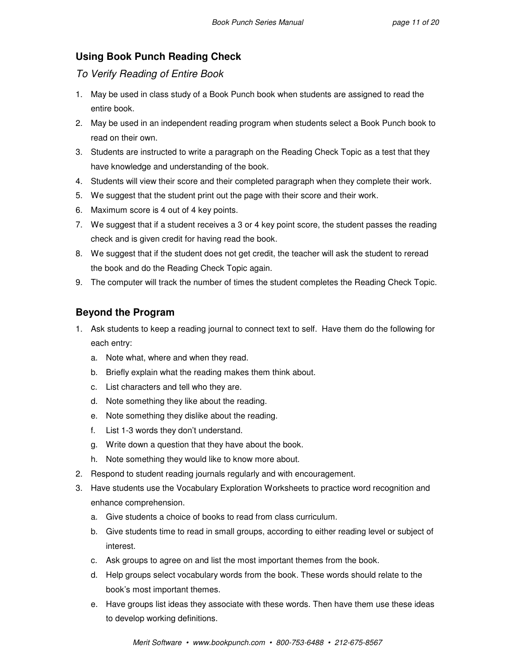# **Using Book Punch Reading Check**

To Verify Reading of Entire Book

- 1. May be used in class study of a Book Punch book when students are assigned to read the entire book.
- 2. May be used in an independent reading program when students select a Book Punch book to read on their own.
- 3. Students are instructed to write a paragraph on the Reading Check Topic as a test that they have knowledge and understanding of the book.
- 4. Students will view their score and their completed paragraph when they complete their work.
- 5. We suggest that the student print out the page with their score and their work.
- 6. Maximum score is 4 out of 4 key points.
- 7. We suggest that if a student receives a 3 or 4 key point score, the student passes the reading check and is given credit for having read the book.
- 8. We suggest that if the student does not get credit, the teacher will ask the student to reread the book and do the Reading Check Topic again.
- 9. The computer will track the number of times the student completes the Reading Check Topic.

# **Beyond the Program**

- 1. Ask students to keep a reading journal to connect text to self. Have them do the following for each entry:
	- a. Note what, where and when they read.
	- b. Briefly explain what the reading makes them think about.
	- c. List characters and tell who they are.
	- d. Note something they like about the reading.
	- e. Note something they dislike about the reading.
	- f. List 1-3 words they don't understand.
	- g. Write down a question that they have about the book.
	- h. Note something they would like to know more about.
- 2. Respond to student reading journals regularly and with encouragement.
- 3. Have students use the Vocabulary Exploration Worksheets to practice word recognition and enhance comprehension.
	- a. Give students a choice of books to read from class curriculum.
	- b. Give students time to read in small groups, according to either reading level or subject of interest.
	- c. Ask groups to agree on and list the most important themes from the book.
	- d. Help groups select vocabulary words from the book. These words should relate to the book's most important themes.
	- e. Have groups list ideas they associate with these words. Then have them use these ideas to develop working definitions.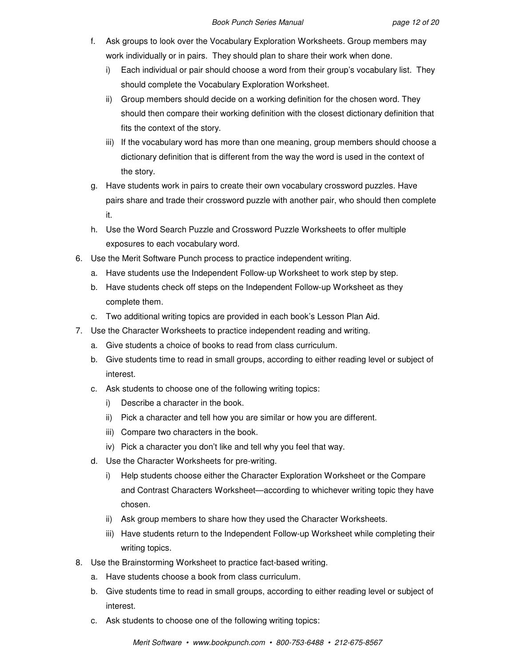- f. Ask groups to look over the Vocabulary Exploration Worksheets. Group members may work individually or in pairs. They should plan to share their work when done.
	- i) Each individual or pair should choose a word from their group's vocabulary list. They should complete the Vocabulary Exploration Worksheet.
	- ii) Group members should decide on a working definition for the chosen word. They should then compare their working definition with the closest dictionary definition that fits the context of the story.
	- iii) If the vocabulary word has more than one meaning, group members should choose a dictionary definition that is different from the way the word is used in the context of the story.
- g. Have students work in pairs to create their own vocabulary crossword puzzles. Have pairs share and trade their crossword puzzle with another pair, who should then complete it.
- h. Use the Word Search Puzzle and Crossword Puzzle Worksheets to offer multiple exposures to each vocabulary word.
- 6. Use the Merit Software Punch process to practice independent writing.
	- a. Have students use the Independent Follow-up Worksheet to work step by step.
	- b. Have students check off steps on the Independent Follow-up Worksheet as they complete them.
	- c. Two additional writing topics are provided in each book's Lesson Plan Aid.
- 7. Use the Character Worksheets to practice independent reading and writing.
	- a. Give students a choice of books to read from class curriculum.
	- b. Give students time to read in small groups, according to either reading level or subject of interest.
	- c. Ask students to choose one of the following writing topics:
		- i) Describe a character in the book.
		- ii) Pick a character and tell how you are similar or how you are different.
		- iii) Compare two characters in the book.
		- iv) Pick a character you don't like and tell why you feel that way.
	- d. Use the Character Worksheets for pre-writing.
		- i) Help students choose either the Character Exploration Worksheet or the Compare and Contrast Characters Worksheet—according to whichever writing topic they have chosen.
		- ii) Ask group members to share how they used the Character Worksheets.
		- iii) Have students return to the Independent Follow-up Worksheet while completing their writing topics.
- 8. Use the Brainstorming Worksheet to practice fact-based writing.
	- a. Have students choose a book from class curriculum.
	- b. Give students time to read in small groups, according to either reading level or subject of interest.
	- c. Ask students to choose one of the following writing topics: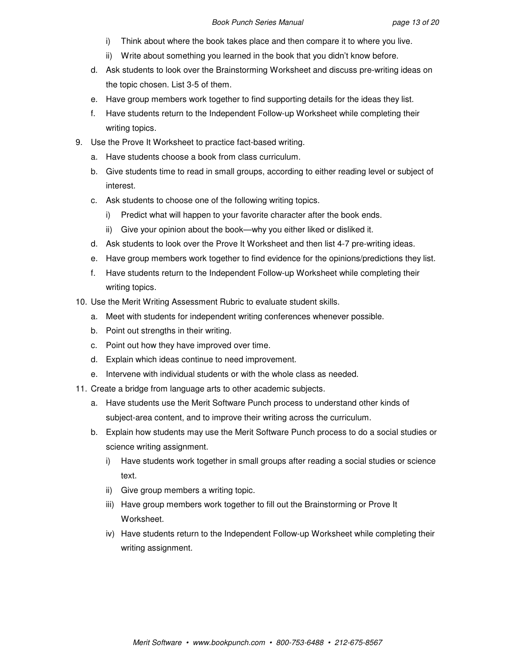- i) Think about where the book takes place and then compare it to where you live.
- ii) Write about something you learned in the book that you didn't know before.
- d. Ask students to look over the Brainstorming Worksheet and discuss pre-writing ideas on the topic chosen. List 3-5 of them.
- e. Have group members work together to find supporting details for the ideas they list.
- f. Have students return to the Independent Follow-up Worksheet while completing their writing topics.
- 9. Use the Prove It Worksheet to practice fact-based writing.
	- a. Have students choose a book from class curriculum.
	- b. Give students time to read in small groups, according to either reading level or subject of interest.
	- c. Ask students to choose one of the following writing topics.
		- i) Predict what will happen to your favorite character after the book ends.
		- ii) Give your opinion about the book—why you either liked or disliked it.
	- d. Ask students to look over the Prove It Worksheet and then list 4-7 pre-writing ideas.
	- e. Have group members work together to find evidence for the opinions/predictions they list.
	- f. Have students return to the Independent Follow-up Worksheet while completing their writing topics.
- 10. Use the Merit Writing Assessment Rubric to evaluate student skills.
	- a. Meet with students for independent writing conferences whenever possible.
	- b. Point out strengths in their writing.
	- c. Point out how they have improved over time.
	- d. Explain which ideas continue to need improvement.
	- e. Intervene with individual students or with the whole class as needed.
- 11. Create a bridge from language arts to other academic subjects.
	- a. Have students use the Merit Software Punch process to understand other kinds of subject-area content, and to improve their writing across the curriculum.
	- b. Explain how students may use the Merit Software Punch process to do a social studies or science writing assignment.
		- i) Have students work together in small groups after reading a social studies or science text.
		- ii) Give group members a writing topic.
		- iii) Have group members work together to fill out the Brainstorming or Prove It Worksheet.
		- iv) Have students return to the Independent Follow-up Worksheet while completing their writing assignment.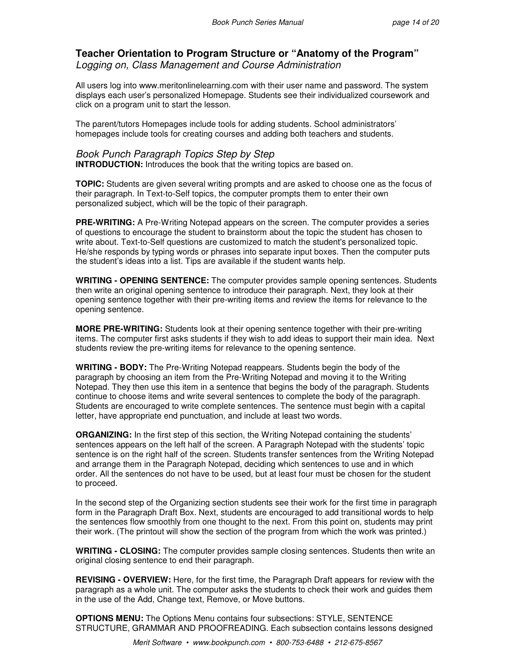# **Teacher Orientation to Program Structure or "Anatomy of the Program"**

Logging on, Class Management and Course Administration

All users log into www.meritonlinelearning.com with their user name and password. The system displays each user's personalized Homepage. Students see their individualized coursework and click on a program unit to start the lesson.

The parent/tutors Homepages include tools for adding students. School administrators' homepages include tools for creating courses and adding both teachers and students.

### Book Punch Paragraph Topics Step by Step

**INTRODUCTION:** Introduces the book that the writing topics are based on.

**TOPIC:** Students are given several writing prompts and are asked to choose one as the focus of their paragraph. In Text-to-Self topics, the computer prompts them to enter their own personalized subject, which will be the topic of their paragraph.

**PRE-WRITING:** A Pre-Writing Notepad appears on the screen. The computer provides a series of questions to encourage the student to brainstorm about the topic the student has chosen to write about. Text-to-Self questions are customized to match the student's personalized topic. He/she responds by typing words or phrases into separate input boxes. Then the computer puts the student's ideas into a list. Tips are available if the student wants help.

**WRITING - OPENING SENTENCE:** The computer provides sample opening sentences. Students then write an original opening sentence to introduce their paragraph. Next, they look at their opening sentence together with their pre-writing items and review the items for relevance to the opening sentence.

**MORE PRE-WRITING:** Students look at their opening sentence together with their pre-writing items. The computer first asks students if they wish to add ideas to support their main idea. Next students review the pre-writing items for relevance to the opening sentence.

**WRITING - BODY:** The Pre-Writing Notepad reappears. Students begin the body of the paragraph by choosing an item from the Pre-Writing Notepad and moving it to the Writing Notepad. They then use this item in a sentence that begins the body of the paragraph. Students continue to choose items and write several sentences to complete the body of the paragraph. Students are encouraged to write complete sentences. The sentence must begin with a capital letter, have appropriate end punctuation, and include at least two words.

**ORGANIZING:** In the first step of this section, the Writing Notepad containing the students' sentences appears on the left half of the screen. A Paragraph Notepad with the students' topic sentence is on the right half of the screen. Students transfer sentences from the Writing Notepad and arrange them in the Paragraph Notepad, deciding which sentences to use and in which order. All the sentences do not have to be used, but at least four must be chosen for the student to proceed.

In the second step of the Organizing section students see their work for the first time in paragraph form in the Paragraph Draft Box. Next, students are encouraged to add transitional words to help the sentences flow smoothly from one thought to the next. From this point on, students may print their work. (The printout will show the section of the program from which the work was printed.)

**WRITING - CLOSING:** The computer provides sample closing sentences. Students then write an original closing sentence to end their paragraph.

**REVISING - OVERVIEW:** Here, for the first time, the Paragraph Draft appears for review with the paragraph as a whole unit. The computer asks the students to check their work and guides them in the use of the Add, Change text, Remove, or Move buttons.

**OPTIONS MENU:** The Options Menu contains four subsections: STYLE, SENTENCE STRUCTURE, GRAMMAR AND PROOFREADING. Each subsection contains lessons designed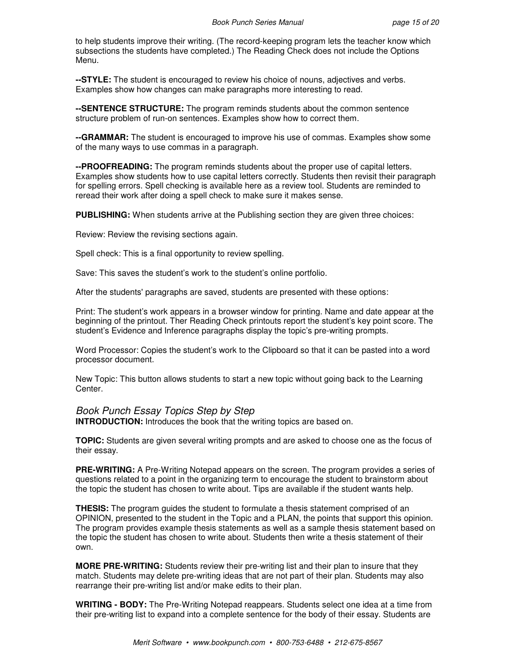to help students improve their writing. (The record-keeping program lets the teacher know which subsections the students have completed.) The Reading Check does not include the Options Menu.

**--STYLE:** The student is encouraged to review his choice of nouns, adjectives and verbs. Examples show how changes can make paragraphs more interesting to read.

**--SENTENCE STRUCTURE:** The program reminds students about the common sentence structure problem of run-on sentences. Examples show how to correct them.

**--GRAMMAR:** The student is encouraged to improve his use of commas. Examples show some of the many ways to use commas in a paragraph.

**--PROOFREADING:** The program reminds students about the proper use of capital letters. Examples show students how to use capital letters correctly. Students then revisit their paragraph for spelling errors. Spell checking is available here as a review tool. Students are reminded to reread their work after doing a spell check to make sure it makes sense.

**PUBLISHING:** When students arrive at the Publishing section they are given three choices:

Review: Review the revising sections again.

Spell check: This is a final opportunity to review spelling.

Save: This saves the student's work to the student's online portfolio.

After the students' paragraphs are saved, students are presented with these options:

Print: The student's work appears in a browser window for printing. Name and date appear at the beginning of the printout. Ther Reading Check printouts report the student's key point score. The student's Evidence and Inference paragraphs display the topic's pre-writing prompts.

Word Processor: Copies the student's work to the Clipboard so that it can be pasted into a word processor document.

New Topic: This button allows students to start a new topic without going back to the Learning Center.

#### Book Punch Essay Topics Step by Step

**INTRODUCTION:** Introduces the book that the writing topics are based on.

**TOPIC:** Students are given several writing prompts and are asked to choose one as the focus of their essay.

**PRE-WRITING:** A Pre-Writing Notepad appears on the screen. The program provides a series of questions related to a point in the organizing term to encourage the student to brainstorm about the topic the student has chosen to write about. Tips are available if the student wants help.

**THESIS:** The program guides the student to formulate a thesis statement comprised of an OPINION, presented to the student in the Topic and a PLAN, the points that support this opinion. The program provides example thesis statements as well as a sample thesis statement based on the topic the student has chosen to write about. Students then write a thesis statement of their own.

**MORE PRE-WRITING:** Students review their pre-writing list and their plan to insure that they match. Students may delete pre-writing ideas that are not part of their plan. Students may also rearrange their pre-writing list and/or make edits to their plan.

**WRITING - BODY:** The Pre-Writing Notepad reappears. Students select one idea at a time from their pre-writing list to expand into a complete sentence for the body of their essay. Students are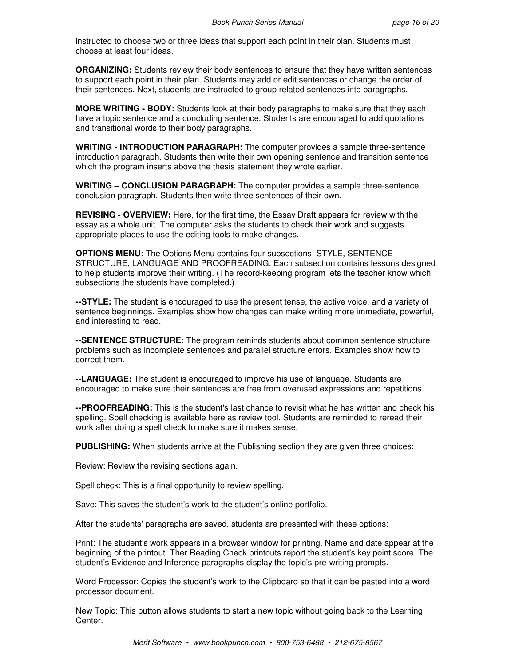instructed to choose two or three ideas that support each point in their plan. Students must choose at least four ideas.

**ORGANIZING:** Students review their body sentences to ensure that they have written sentences to support each point in their plan. Students may add or edit sentences or change the order of their sentences. Next, students are instructed to group related sentences into paragraphs.

**MORE WRITING - BODY:** Students look at their body paragraphs to make sure that they each have a topic sentence and a concluding sentence. Students are encouraged to add quotations and transitional words to their body paragraphs.

**WRITING - INTRODUCTION PARAGRAPH:** The computer provides a sample three-sentence introduction paragraph. Students then write their own opening sentence and transition sentence which the program inserts above the thesis statement they wrote earlier.

**WRITING – CONCLUSION PARAGRAPH:** The computer provides a sample three-sentence conclusion paragraph. Students then write three sentences of their own.

**REVISING - OVERVIEW:** Here, for the first time, the Essay Draft appears for review with the essay as a whole unit. The computer asks the students to check their work and suggests appropriate places to use the editing tools to make changes.

**OPTIONS MENU:** The Options Menu contains four subsections: STYLE, SENTENCE STRUCTURE, LANGUAGE AND PROOFREADING. Each subsection contains lessons designed to help students improve their writing. (The record-keeping program lets the teacher know which subsections the students have completed.)

**--STYLE:** The student is encouraged to use the present tense, the active voice, and a variety of sentence beginnings. Examples show how changes can make writing more immediate, powerful, and interesting to read.

**--SENTENCE STRUCTURE:** The program reminds students about common sentence structure problems such as incomplete sentences and parallel structure errors. Examples show how to correct them.

**--LANGUAGE:** The student is encouraged to improve his use of language. Students are encouraged to make sure their sentences are free from overused expressions and repetitions.

**--PROOFREADING:** This is the student's last chance to revisit what he has written and check his spelling. Spell checking is available here as review tool. Students are reminded to reread their work after doing a spell check to make sure it makes sense.

**PUBLISHING:** When students arrive at the Publishing section they are given three choices:

Review: Review the revising sections again.

Spell check: This is a final opportunity to review spelling.

Save: This saves the student's work to the student's online portfolio.

After the students' paragraphs are saved, students are presented with these options:

Print: The student's work appears in a browser window for printing. Name and date appear at the beginning of the printout. Ther Reading Check printouts report the student's key point score. The student's Evidence and Inference paragraphs display the topic's pre-writing prompts.

Word Processor: Copies the student's work to the Clipboard so that it can be pasted into a word processor document.

New Topic: This button allows students to start a new topic without going back to the Learning Center.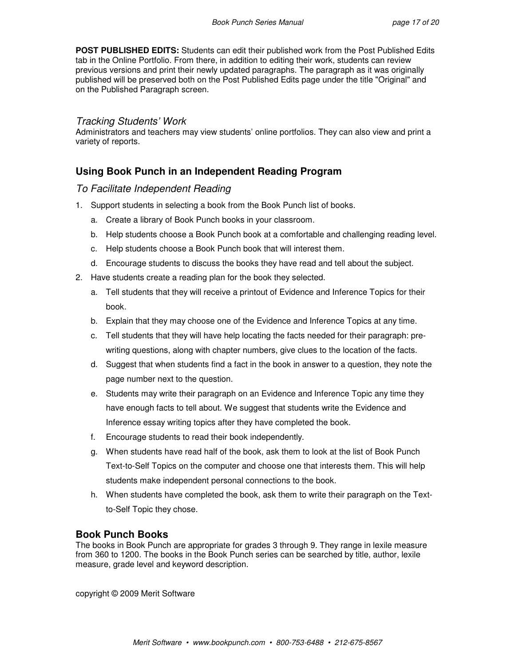**POST PUBLISHED EDITS:** Students can edit their published work from the Post Published Edits tab in the Online Portfolio. From there, in addition to editing their work, students can review previous versions and print their newly updated paragraphs. The paragraph as it was originally published will be preserved both on the Post Published Edits page under the title "Original" and on the Published Paragraph screen.

### Tracking Students' Work

Administrators and teachers may view students' online portfolios. They can also view and print a variety of reports.

# **Using Book Punch in an Independent Reading Program**

#### To Facilitate Independent Reading

- 1. Support students in selecting a book from the Book Punch list of books.
	- a. Create a library of Book Punch books in your classroom.
	- b. Help students choose a Book Punch book at a comfortable and challenging reading level.
	- c. Help students choose a Book Punch book that will interest them.
	- d. Encourage students to discuss the books they have read and tell about the subject.
- 2. Have students create a reading plan for the book they selected.
	- a. Tell students that they will receive a printout of Evidence and Inference Topics for their book.
	- b. Explain that they may choose one of the Evidence and Inference Topics at any time.
	- c. Tell students that they will have help locating the facts needed for their paragraph: prewriting questions, along with chapter numbers, give clues to the location of the facts.
	- d. Suggest that when students find a fact in the book in answer to a question, they note the page number next to the question.
	- e. Students may write their paragraph on an Evidence and Inference Topic any time they have enough facts to tell about. We suggest that students write the Evidence and Inference essay writing topics after they have completed the book.
	- f. Encourage students to read their book independently.
	- g. When students have read half of the book, ask them to look at the list of Book Punch Text-to-Self Topics on the computer and choose one that interests them. This will help students make independent personal connections to the book.
	- h. When students have completed the book, ask them to write their paragraph on the Textto-Self Topic they chose.

#### **Book Punch Books**

The books in Book Punch are appropriate for grades 3 through 9. They range in lexile measure from 360 to 1200. The books in the Book Punch series can be searched by title, author, lexile measure, grade level and keyword description.

copyright © 2009 Merit Software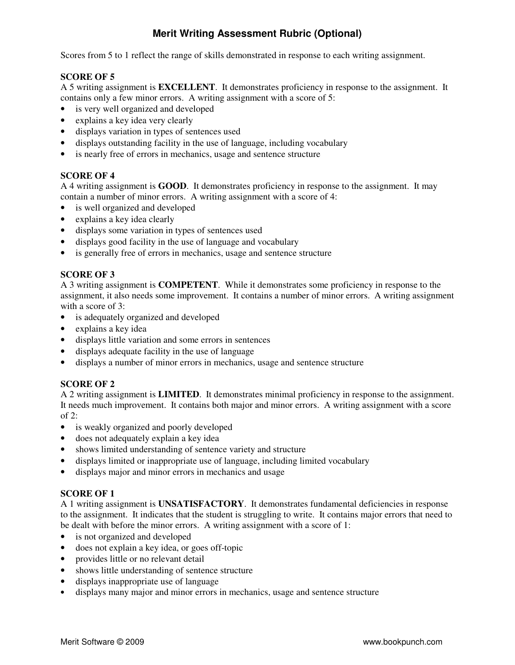# **Merit Writing Assessment Rubric (Optional)**

Scores from 5 to 1 reflect the range of skills demonstrated in response to each writing assignment.

### **SCORE OF 5**

A 5 writing assignment is **EXCELLENT**. It demonstrates proficiency in response to the assignment. It contains only a few minor errors. A writing assignment with a score of 5:

- is very well organized and developed
- explains a key idea very clearly
- displays variation in types of sentences used
- displays outstanding facility in the use of language, including vocabulary
- is nearly free of errors in mechanics, usage and sentence structure

### **SCORE OF 4**

A 4 writing assignment is **GOOD**. It demonstrates proficiency in response to the assignment. It may contain a number of minor errors. A writing assignment with a score of 4:

- is well organized and developed
- explains a key idea clearly
- displays some variation in types of sentences used
- displays good facility in the use of language and vocabulary
- is generally free of errors in mechanics, usage and sentence structure

### **SCORE OF 3**

A 3 writing assignment is **COMPETENT**. While it demonstrates some proficiency in response to the assignment, it also needs some improvement. It contains a number of minor errors. A writing assignment with a score of 3:

- is adequately organized and developed
- explains a key idea
- displays little variation and some errors in sentences
- displays adequate facility in the use of language
- displays a number of minor errors in mechanics, usage and sentence structure

# **SCORE OF 2**

A 2 writing assignment is **LIMITED**. It demonstrates minimal proficiency in response to the assignment. It needs much improvement. It contains both major and minor errors. A writing assignment with a score of 2:

- is weakly organized and poorly developed
- does not adequately explain a key idea
- shows limited understanding of sentence variety and structure
- displays limited or inappropriate use of language, including limited vocabulary
- displays major and minor errors in mechanics and usage

## **SCORE OF 1**

A 1 writing assignment is **UNSATISFACTORY**. It demonstrates fundamental deficiencies in response to the assignment. It indicates that the student is struggling to write. It contains major errors that need to be dealt with before the minor errors. A writing assignment with a score of 1:

- is not organized and developed
- does not explain a key idea, or goes off-topic
- provides little or no relevant detail
- shows little understanding of sentence structure
- displays inappropriate use of language
- displays many major and minor errors in mechanics, usage and sentence structure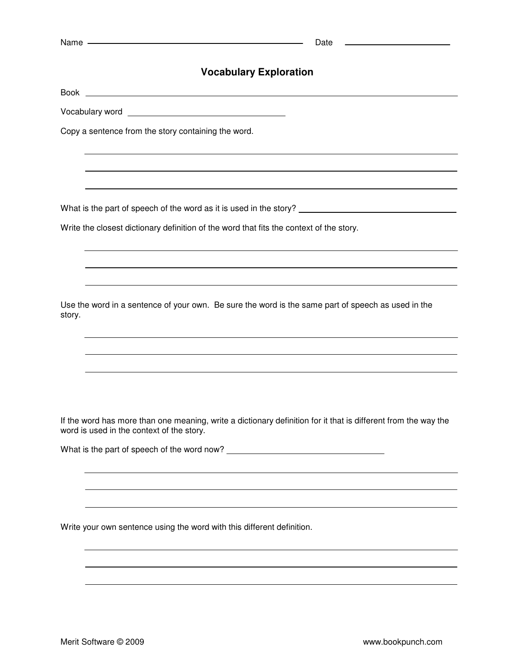|        | Name experience and the contract of the contract of the contract of the contract of the contract of the contract of the contract of the contract of the contract of the contract of the contract of the contract of the contra<br>Date |
|--------|----------------------------------------------------------------------------------------------------------------------------------------------------------------------------------------------------------------------------------------|
|        | <b>Vocabulary Exploration</b>                                                                                                                                                                                                          |
|        |                                                                                                                                                                                                                                        |
|        | Vocabulary word<br><u> vocabulary</u>                                                                                                                                                                                                  |
|        | Copy a sentence from the story containing the word.                                                                                                                                                                                    |
|        |                                                                                                                                                                                                                                        |
|        |                                                                                                                                                                                                                                        |
|        |                                                                                                                                                                                                                                        |
|        | Write the closest dictionary definition of the word that fits the context of the story.                                                                                                                                                |
|        |                                                                                                                                                                                                                                        |
|        |                                                                                                                                                                                                                                        |
| story. | Use the word in a sentence of your own. Be sure the word is the same part of speech as used in the                                                                                                                                     |
|        | ,我们也不会有什么。""我们的人,我们也不会有什么?""我们的人,我们也不会有什么?""我们的人,我们也不会有什么?""我们的人,我们也不会有什么?""我们的人                                                                                                                                                       |
|        |                                                                                                                                                                                                                                        |
|        |                                                                                                                                                                                                                                        |
|        | If the word has more than one meaning, write a dictionary definition for it that is different from the way the<br>word is used in the context of the story.                                                                            |
|        |                                                                                                                                                                                                                                        |
|        |                                                                                                                                                                                                                                        |
|        |                                                                                                                                                                                                                                        |
|        | Write your own sentence using the word with this different definition.                                                                                                                                                                 |
|        |                                                                                                                                                                                                                                        |
|        |                                                                                                                                                                                                                                        |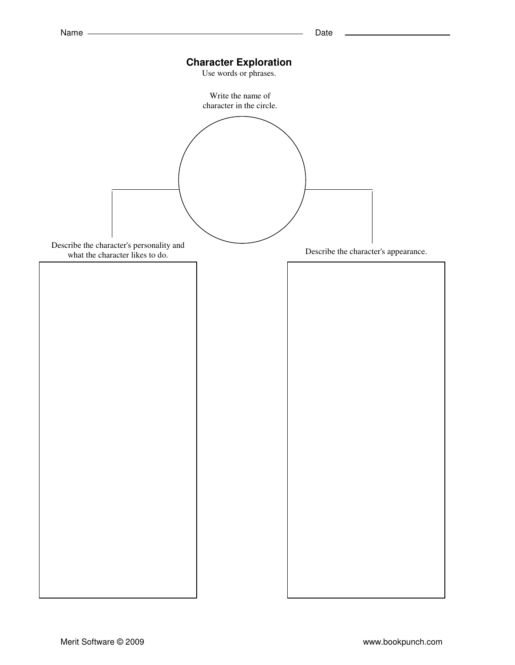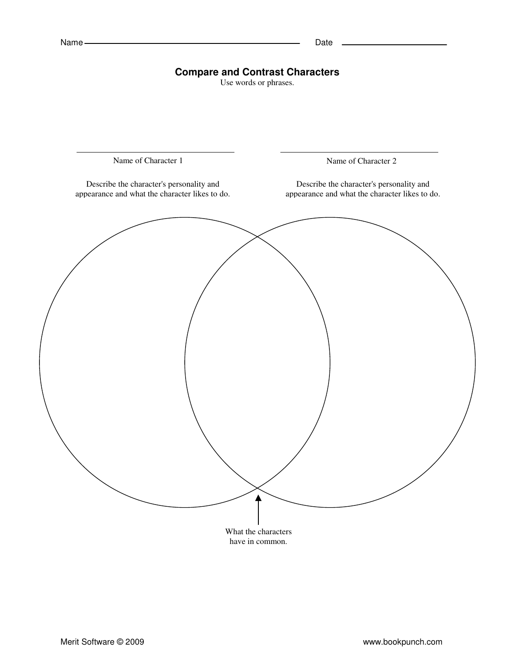# **Compare and Contrast Characters**

Use words or phrases.

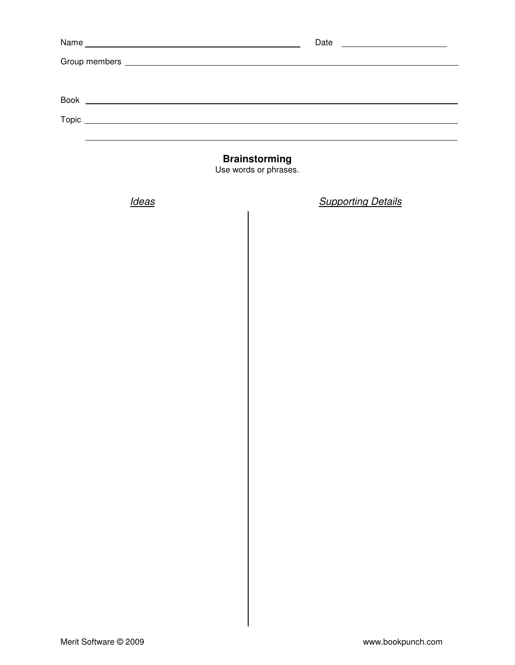|              | <b>Brainstorming</b><br>Use words or phrases. |
|--------------|-----------------------------------------------|
| <b>Ideas</b> | <b>Supporting Details</b>                     |
|              |                                               |
|              |                                               |
|              |                                               |
|              |                                               |
|              |                                               |
|              |                                               |
|              |                                               |
|              |                                               |
|              |                                               |
|              |                                               |
|              |                                               |
|              |                                               |
|              |                                               |
|              |                                               |
|              |                                               |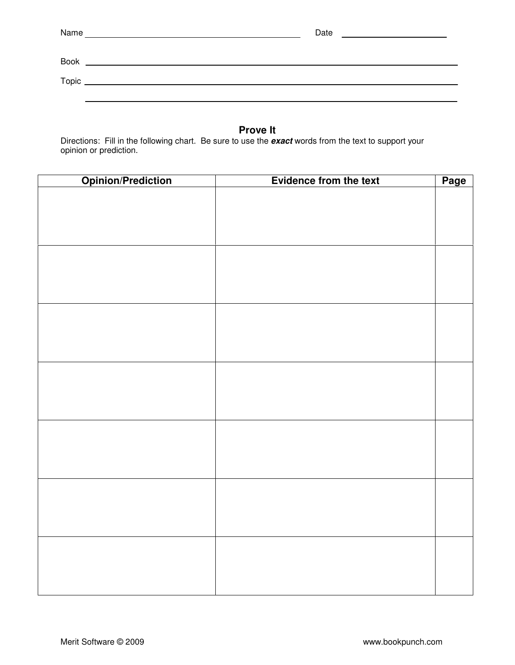| Name | Date |
|------|------|
|------|------|

| <b>Book</b> |  |
|-------------|--|
| Topic       |  |
|             |  |

# **Prove It**

Directions: Fill in the following chart. Be sure to use the **exact** words from the text to support your opinion or prediction.

| <b>Opinion/Prediction</b> | Evidence from the text | Page |
|---------------------------|------------------------|------|
|                           |                        |      |
|                           |                        |      |
|                           |                        |      |
|                           |                        |      |
|                           |                        |      |
|                           |                        |      |
|                           |                        |      |
|                           |                        |      |
|                           |                        |      |
|                           |                        |      |
|                           |                        |      |
|                           |                        |      |
|                           |                        |      |
|                           |                        |      |
|                           |                        |      |
|                           |                        |      |
|                           |                        |      |
|                           |                        |      |
|                           |                        |      |
|                           |                        |      |
|                           |                        |      |
|                           |                        |      |
|                           |                        |      |
|                           |                        |      |
|                           |                        |      |
|                           |                        |      |
|                           |                        |      |
|                           |                        |      |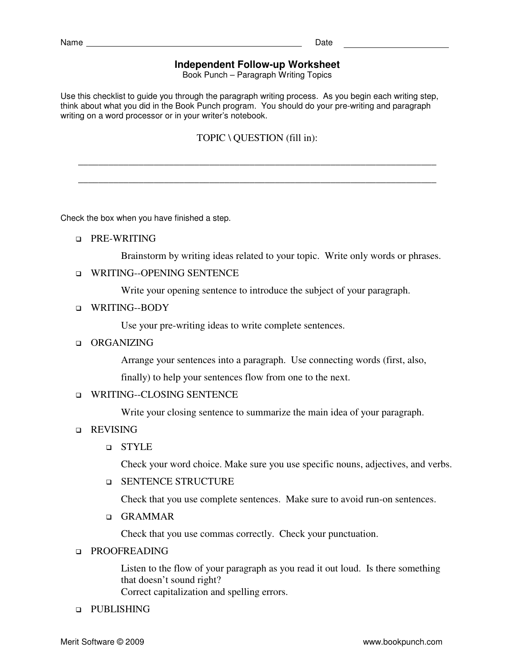## **Independent Follow-up Worksheet**

Book Punch – Paragraph Writing Topics

Use this checklist to guide you through the paragraph writing process. As you begin each writing step, think about what you did in the Book Punch program. You should do your pre-writing and paragraph writing on a word processor or in your writer's notebook.

## TOPIC \ QUESTION (fill in):

\_\_\_\_\_\_\_\_\_\_\_\_\_\_\_\_\_\_\_\_\_\_\_\_\_\_\_\_\_\_\_\_\_\_\_\_\_\_\_\_\_\_\_\_\_\_\_\_\_\_\_\_\_\_\_\_\_\_\_\_\_\_\_\_\_\_\_\_\_\_\_

\_\_\_\_\_\_\_\_\_\_\_\_\_\_\_\_\_\_\_\_\_\_\_\_\_\_\_\_\_\_\_\_\_\_\_\_\_\_\_\_\_\_\_\_\_\_\_\_\_\_\_\_\_\_\_\_\_\_\_\_\_\_\_\_\_\_\_\_\_\_\_

Check the box when you have finished a step.

**D** PRE-WRITING

Brainstorm by writing ideas related to your topic. Write only words or phrases.

WRITING--OPENING SENTENCE

Write your opening sentence to introduce the subject of your paragraph.

WRITING--BODY

Use your pre-writing ideas to write complete sentences.

**Q** ORGANIZING

Arrange your sentences into a paragraph. Use connecting words (first, also, finally) to help your sentences flow from one to the next.

#### **U WRITING--CLOSING SENTENCE**

Write your closing sentence to summarize the main idea of your paragraph.

- **Q** REVISING
	- STYLE

Check your word choice. Make sure you use specific nouns, adjectives, and verbs.

**Q SENTENCE STRUCTURE** 

Check that you use complete sentences. Make sure to avoid run-on sentences.

GRAMMAR

Check that you use commas correctly. Check your punctuation.

### **PROOFREADING**

Listen to the flow of your paragraph as you read it out loud. Is there something that doesn't sound right?

Correct capitalization and spelling errors.

#### **Q** PUBLISHING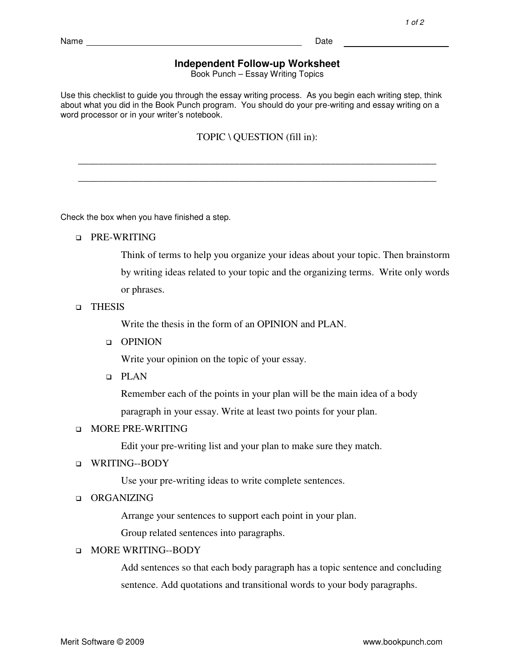### **Independent Follow-up Worksheet**

Book Punch – Essay Writing Topics

Use this checklist to guide you through the essay writing process. As you begin each writing step, think about what you did in the Book Punch program. You should do your pre-writing and essay writing on a word processor or in your writer's notebook.

TOPIC \ QUESTION (fill in):

\_\_\_\_\_\_\_\_\_\_\_\_\_\_\_\_\_\_\_\_\_\_\_\_\_\_\_\_\_\_\_\_\_\_\_\_\_\_\_\_\_\_\_\_\_\_\_\_\_\_\_\_\_\_\_\_\_\_\_\_\_\_\_\_\_\_\_\_\_\_\_

\_\_\_\_\_\_\_\_\_\_\_\_\_\_\_\_\_\_\_\_\_\_\_\_\_\_\_\_\_\_\_\_\_\_\_\_\_\_\_\_\_\_\_\_\_\_\_\_\_\_\_\_\_\_\_\_\_\_\_\_\_\_\_\_\_\_\_\_\_\_\_

Check the box when you have finished a step.

**D** PRE-WRITING

Think of terms to help you organize your ideas about your topic. Then brainstorm by writing ideas related to your topic and the organizing terms. Write only words or phrases.

#### **D** THESIS

Write the thesis in the form of an OPINION and PLAN.

#### OPINION

Write your opinion on the topic of your essay.

PLAN

Remember each of the points in your plan will be the main idea of a body paragraph in your essay. Write at least two points for your plan.

#### **D** MORE PRE-WRITING

Edit your pre-writing list and your plan to make sure they match.

#### WRITING--BODY

Use your pre-writing ideas to write complete sentences.

### **ORGANIZING**

Arrange your sentences to support each point in your plan.

Group related sentences into paragraphs.

#### **INORE WRITING--BODY**

Add sentences so that each body paragraph has a topic sentence and concluding sentence. Add quotations and transitional words to your body paragraphs.